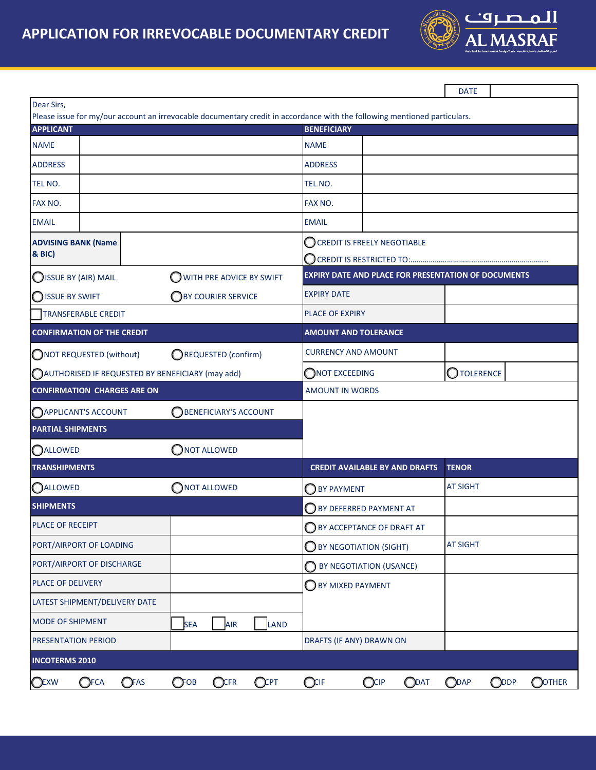

|                                                                                                                                               |                                                        |                                                            | <b>DATE</b>                          |  |  |
|-----------------------------------------------------------------------------------------------------------------------------------------------|--------------------------------------------------------|------------------------------------------------------------|--------------------------------------|--|--|
| Dear Sirs,                                                                                                                                    |                                                        |                                                            |                                      |  |  |
| Please issue for my/our account an irrevocable documentary credit in accordance with the following mentioned particulars.<br><b>APPLICANT</b> |                                                        | <b>BENEFICIARY</b>                                         |                                      |  |  |
| <b>NAME</b>                                                                                                                                   |                                                        | <b>NAME</b>                                                |                                      |  |  |
| <b>ADDRESS</b>                                                                                                                                |                                                        | <b>ADDRESS</b>                                             |                                      |  |  |
| TEL NO.                                                                                                                                       |                                                        | TEL NO.                                                    |                                      |  |  |
| FAX NO.                                                                                                                                       |                                                        | FAX NO.                                                    |                                      |  |  |
| <b>EMAIL</b>                                                                                                                                  |                                                        | <b>EMAIL</b>                                               |                                      |  |  |
| <b>ADVISING BANK (Name</b>                                                                                                                    |                                                        | CCREDIT IS FREELY NEGOTIABLE                               |                                      |  |  |
| <b>&amp; BIC)</b>                                                                                                                             |                                                        | CREDIT IS RESTRICTED TO:                                   |                                      |  |  |
| SISSUE BY (AIR) MAIL                                                                                                                          | WITH PRE ADVICE BY SWIFT                               | <b>EXPIRY DATE AND PLACE FOR PRESENTATION OF DOCUMENTS</b> |                                      |  |  |
| <b>ISSUE BY SWIFT</b>                                                                                                                         | BY COURIER SERVICE                                     | <b>EXPIRY DATE</b>                                         |                                      |  |  |
| <b>TRANSFERABLE CREDIT</b>                                                                                                                    |                                                        | PLACE OF EXPIRY                                            |                                      |  |  |
| <b>CONFIRMATION OF THE CREDIT</b>                                                                                                             |                                                        | <b>AMOUNT AND TOLERANCE</b>                                |                                      |  |  |
| ONOT REQUESTED (without)                                                                                                                      | REQUESTED (confirm)                                    | <b>CURRENCY AND AMOUNT</b>                                 |                                      |  |  |
| AUTHORISED IF REQUESTED BY BENEFICIARY (may add)                                                                                              |                                                        | NOT EXCEEDING                                              | OTOLERENCE                           |  |  |
| <b>CONFIRMATION CHARGES ARE ON</b>                                                                                                            |                                                        | <b>AMOUNT IN WORDS</b>                                     |                                      |  |  |
| <b>BENEFICIARY'S ACCOUNT</b><br><b>OAPPLICANT'S ACCOUNT</b>                                                                                   |                                                        |                                                            |                                      |  |  |
| <b>PARTIAL SHIPMENTS</b>                                                                                                                      |                                                        |                                                            |                                      |  |  |
| $\bigcirc$ not allowed<br><b>OALLOWED</b>                                                                                                     |                                                        |                                                            |                                      |  |  |
| <b>TRANSHIPMENTS</b>                                                                                                                          |                                                        | <b>CREDIT AVAILABLE BY AND DRAFTS</b>                      | <b>TENOR</b>                         |  |  |
| <b>OALLOWED</b>                                                                                                                               | ONOT ALLOWED                                           | BY PAYMENT                                                 | <b>AT SIGHT</b>                      |  |  |
| <b>SHIPMENTS</b>                                                                                                                              |                                                        | BY DEFERRED PAYMENT AT                                     |                                      |  |  |
| PLACE OF RECEIPT                                                                                                                              |                                                        | BY ACCEPTANCE OF DRAFT AT                                  |                                      |  |  |
| PORT/AIRPORT OF LOADING                                                                                                                       |                                                        | $\bigcirc$ BY NEGOTIATION (SIGHT)                          | <b>AT SIGHT</b>                      |  |  |
| PORT/AIRPORT OF DISCHARGE                                                                                                                     |                                                        | BY NEGOTIATION (USANCE)<br>Ω                               |                                      |  |  |
| PLACE OF DELIVERY                                                                                                                             |                                                        | BY MIXED PAYMENT                                           |                                      |  |  |
| LATEST SHIPMENT/DELIVERY DATE                                                                                                                 |                                                        |                                                            |                                      |  |  |
| <b>MODE OF SHIPMENT</b>                                                                                                                       | <b>AIR</b><br>LAND<br><b>SEA</b>                       |                                                            |                                      |  |  |
| PRESENTATION PERIOD                                                                                                                           |                                                        | DRAFTS (IF ANY) DRAWN ON                                   |                                      |  |  |
| <b>INCOTERMS 2010</b>                                                                                                                         |                                                        |                                                            |                                      |  |  |
| $\bigcirc$ FCA<br>$\bigcirc$ FAS<br><b>OEXW</b>                                                                                               | QCFR<br>Q <sup>CPT</sup><br>$\mathbb{O}$ <sup>OB</sup> | $Q$ CIF<br>$Q^{CIP}$<br>O <sub>DT</sub>                    | ODAP<br><b>ODDP</b><br><b>OOTHER</b> |  |  |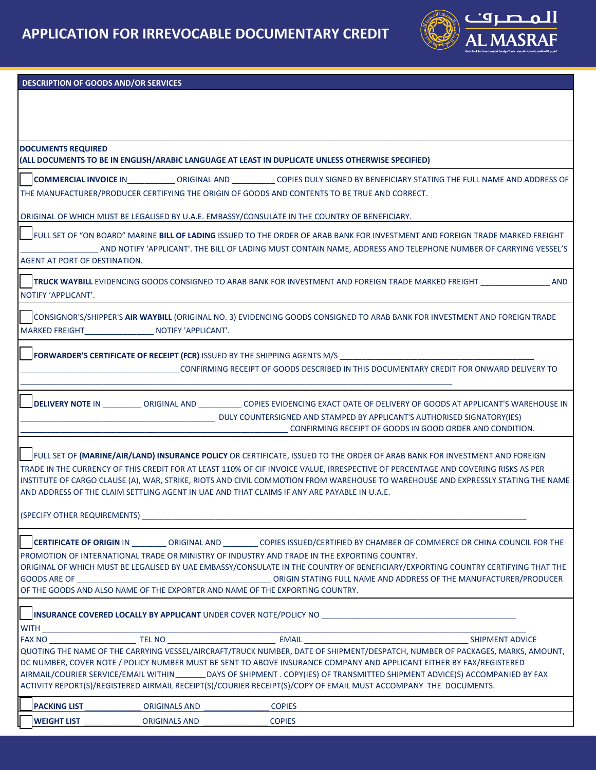

## **DESCRIPTION OF GOODS AND/OR SERVICES**

| <b>DOCUMENTS REQUIRED</b>      |                                                                                                   |               |                                                                                                                                                                                                                                                      |
|--------------------------------|---------------------------------------------------------------------------------------------------|---------------|------------------------------------------------------------------------------------------------------------------------------------------------------------------------------------------------------------------------------------------------------|
|                                | (ALL DOCUMENTS TO BE IN ENGLISH/ARABIC LANGUAGE AT LEAST IN DUPLICATE UNLESS OTHERWISE SPECIFIED) |               |                                                                                                                                                                                                                                                      |
|                                |                                                                                                   |               | COPIES DULY SIGNED BY BENEFICIARY STATING THE FULL NAME AND ADDRESS OF                                                                                                                                                                               |
|                                | THE MANUFACTURER/PRODUCER CERTIFYING THE ORIGIN OF GOODS AND CONTENTS TO BE TRUE AND CORRECT.     |               |                                                                                                                                                                                                                                                      |
|                                |                                                                                                   |               |                                                                                                                                                                                                                                                      |
|                                | ORIGINAL OF WHICH MUST BE LEGALISED BY U.A.E. EMBASSY/CONSULATE IN THE COUNTRY OF BENEFICIARY.    |               |                                                                                                                                                                                                                                                      |
|                                |                                                                                                   |               | FULL SET OF "ON BOARD" MARINE BILL OF LADING ISSUED TO THE ORDER OF ARAB BANK FOR INVESTMENT AND FOREIGN TRADE MARKED FREIGHT                                                                                                                        |
|                                |                                                                                                   |               | AND NOTIFY 'APPLICANT'. THE BILL OF LADING MUST CONTAIN NAME, ADDRESS AND TELEPHONE NUMBER OF CARRYING VESSEL'S                                                                                                                                      |
| AGENT AT PORT OF DESTINATION.  |                                                                                                   |               |                                                                                                                                                                                                                                                      |
|                                |                                                                                                   |               |                                                                                                                                                                                                                                                      |
|                                |                                                                                                   |               | TRUCK WAYBILL EVIDENCING GOODS CONSIGNED TO ARAB BANK FOR INVESTMENT AND FOREIGN TRADE MARKED FREIGHT<br><b>AND</b>                                                                                                                                  |
| NOTIFY 'APPLICANT'.            |                                                                                                   |               |                                                                                                                                                                                                                                                      |
|                                |                                                                                                   |               |                                                                                                                                                                                                                                                      |
|                                |                                                                                                   |               | CONSIGNOR'S/SHIPPER'S AIR WAYBILL (ORIGINAL NO. 3) EVIDENCING GOODS CONSIGNED TO ARAB BANK FOR INVESTMENT AND FOREIGN TRADE                                                                                                                          |
|                                | MARKED FREIGHT NOTIFY 'APPLICANT'.                                                                |               |                                                                                                                                                                                                                                                      |
|                                |                                                                                                   |               |                                                                                                                                                                                                                                                      |
|                                |                                                                                                   |               | <b>FORWARDER'S CERTIFICATE OF RECEIPT (FCR)</b> ISSUED BY THE SHIPPING AGENTS M/S                                                                                                                                                                    |
|                                |                                                                                                   |               | CONFIRMING RECEIPT OF GOODS DESCRIBED IN THIS DOCUMENTARY CREDIT FOR ONWARD DELIVERY TO                                                                                                                                                              |
|                                |                                                                                                   |               |                                                                                                                                                                                                                                                      |
|                                |                                                                                                   |               | DELIVERY NOTE IN CRIGINAL AND COPIES EVIDENCING EXACT DATE OF DELIVERY OF GOODS AT APPLICANT'S WAREHOUSE IN                                                                                                                                          |
|                                |                                                                                                   |               | DULY COUNTERSIGNED AND STAMPED BY APPLICANT'S AUTHORISED SIGNATORY(IES)                                                                                                                                                                              |
|                                |                                                                                                   |               | CONFIRMING RECEIPT OF GOODS IN GOOD ORDER AND CONDITION.                                                                                                                                                                                             |
|                                |                                                                                                   |               |                                                                                                                                                                                                                                                      |
|                                |                                                                                                   |               | FULL SET OF (MARINE/AIR/LAND) INSURANCE POLICY OR CERTIFICATE, ISSUED TO THE ORDER OF ARAB BANK FOR INVESTMENT AND FOREIGN                                                                                                                           |
|                                |                                                                                                   |               | TRADE IN THE CURRENCY OF THIS CREDIT FOR AT LEAST 110% OF CIF INVOICE VALUE, IRRESPECTIVE OF PERCENTAGE AND COVERING RISKS AS PER                                                                                                                    |
|                                |                                                                                                   |               | INSTITUTE OF CARGO CLAUSE (A), WAR, STRIKE, RIOTS AND CIVIL COMMOTION FROM WAREHOUSE TO WAREHOUSE AND EXPRESSLY STATING THE NAME                                                                                                                     |
|                                | AND ADDRESS OF THE CLAIM SETTLING AGENT IN UAE AND THAT CLAIMS IF ANY ARE PAYABLE IN U.A.E.       |               |                                                                                                                                                                                                                                                      |
|                                |                                                                                                   |               |                                                                                                                                                                                                                                                      |
|                                | (SPECIFY OTHER REQUIREMENTS)                                                                      |               |                                                                                                                                                                                                                                                      |
|                                |                                                                                                   |               |                                                                                                                                                                                                                                                      |
|                                |                                                                                                   |               | COPIES ISSUED/CERTIFIED BY CHAMBER OF COMMERCE OR CHINA COUNCIL FOR THE                                                                                                                                                                              |
|                                | PROMOTION OF INTERNATIONAL TRADE OR MINISTRY OF INDUSTRY AND TRADE IN THE EXPORTING COUNTRY.      |               |                                                                                                                                                                                                                                                      |
|                                |                                                                                                   |               | ORIGINAL OF WHICH MUST BE LEGALISED BY UAE EMBASSY/CONSULATE IN THE COUNTRY OF BENEFICIARY/EXPORTING COUNTRY CERTIFYING THAT THE                                                                                                                     |
| <b>GOODS ARE OF</b>            |                                                                                                   |               |                                                                                                                                                                                                                                                      |
|                                | OF THE GOODS AND ALSO NAME OF THE EXPORTER AND NAME OF THE EXPORTING COUNTRY.                     |               |                                                                                                                                                                                                                                                      |
|                                |                                                                                                   |               |                                                                                                                                                                                                                                                      |
|                                |                                                                                                   |               | INSURANCE COVERED LOCALLY BY APPLICANT UNDER COVER NOTE/POLICY NO                                                                                                                                                                                    |
| WITH _________________________ | <b>TEL NO</b>                                                                                     |               | SHIPMENT ADVICE                                                                                                                                                                                                                                      |
|                                |                                                                                                   |               | <u> 2000 - Jan James James James James James James James James James James James James James James James James J</u><br>QUOTING THE NAME OF THE CARRYING VESSEL/AIRCRAFT/TRUCK NUMBER, DATE OF SHIPMENT/DESPATCH, NUMBER OF PACKAGES, MARKS, AMOUNT, |
|                                |                                                                                                   |               | DC NUMBER, COVER NOTE / POLICY NUMBER MUST BE SENT TO ABOVE INSURANCE COMPANY AND APPLICANT EITHER BY FAX/REGISTERED                                                                                                                                 |
|                                |                                                                                                   |               | AIRMAIL/COURIER SERVICE/EMAIL WITHIN_________ DAYS OF SHIPMENT . COPY(IES) OF TRANSMITTED SHIPMENT ADVICE(S) ACCOMPANIED BY FAX                                                                                                                      |
|                                |                                                                                                   |               | ACTIVITY REPORT(S)/REGISTERED AIRMAIL RECEIPT(S)/COURIER RECEIPT(S)/COPY OF EMAIL MUST ACCOMPANY THE DOCUMENTS.                                                                                                                                      |
|                                |                                                                                                   |               |                                                                                                                                                                                                                                                      |
| <b>PACKING LIST</b>            | <b>ORIGINALS AND</b>                                                                              | <b>COPIES</b> |                                                                                                                                                                                                                                                      |
| <b>WEIGHT LIST</b>             | <b>ORIGINALS AND</b>                                                                              | <b>COPIES</b> |                                                                                                                                                                                                                                                      |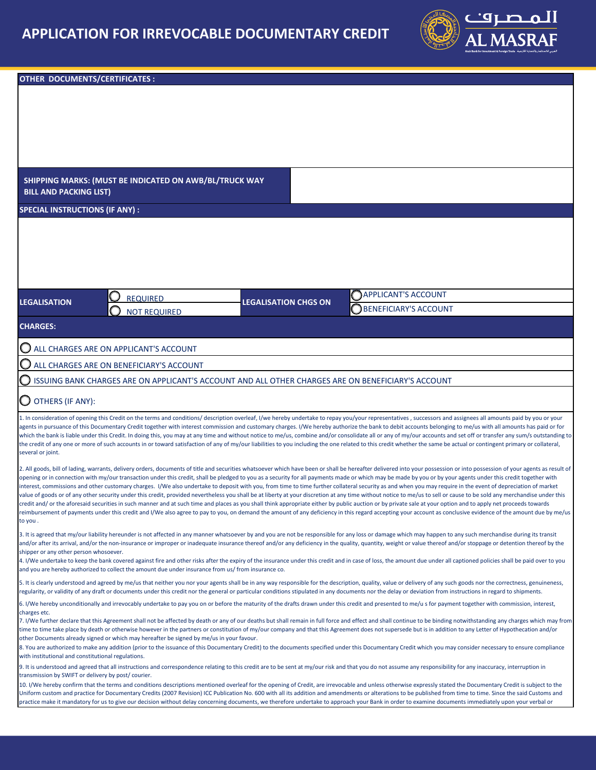

| SHIPPING MARKS: (MUST BE INDICATED ON AWB/BL/TRUCK WAY<br><b>BILL AND PACKING LIST)</b><br><b>SPECIAL INSTRUCTIONS (IF ANY):</b><br><b>APPLICANT'S ACCOUNT</b><br><b>REQUIRED</b><br><b>LEGALISATION CHGS ON</b><br><b>LEGALISATION</b><br><b>BENEFICIARY'S ACCOUNT</b><br><b>NOT REQUIRED</b><br><b>CHARGES:</b><br>ALL CHARGES ARE ON APPLICANT'S ACCOUNT<br>ALL CHARGES ARE ON BENEFICIARY'S ACCOUNT<br>ISSUING BANK CHARGES ARE ON APPLICANT'S ACCOUNT AND ALL OTHER CHARGES ARE ON BENEFICIARY'S ACCOUNT<br>$\bigcirc$ OTHERS (IF ANY):<br>1. In consideration of opening this Credit on the terms and conditions/ description overleaf, I/we hereby undertake to repay you/your representatives, successors and assignees all amounts paid by you or your<br>agents in pursuance of this Documentary Credit together with interest commission and customary charges. I/We hereby authorize the bank to debit accounts belonging to me/us with all amounts has paid or for<br>which the bank is liable under this Credit. In doing this, you may at any time and without notice to me/us, combine and/or consolidate all or any of my/our accounts and set off or transfer any sum/s outstanding to<br>the credit of any one or more of such accounts in or toward satisfaction of any of my/our liabilities to you including the one related to this credit whether the same be actual or contingent primary or collateral,<br>several or joint.<br>2. All goods, bill of lading, warrants, delivery orders, documents of title and securities whatsoever which have been or shall be hereafter delivered into your possession or into possession of your agents as result of |  |  |  |  |  |
|-------------------------------------------------------------------------------------------------------------------------------------------------------------------------------------------------------------------------------------------------------------------------------------------------------------------------------------------------------------------------------------------------------------------------------------------------------------------------------------------------------------------------------------------------------------------------------------------------------------------------------------------------------------------------------------------------------------------------------------------------------------------------------------------------------------------------------------------------------------------------------------------------------------------------------------------------------------------------------------------------------------------------------------------------------------------------------------------------------------------------------------------------------------------------------------------------------------------------------------------------------------------------------------------------------------------------------------------------------------------------------------------------------------------------------------------------------------------------------------------------------------------------------------------------------------------------------------------------------------------------------------------------------------------------------------|--|--|--|--|--|
|                                                                                                                                                                                                                                                                                                                                                                                                                                                                                                                                                                                                                                                                                                                                                                                                                                                                                                                                                                                                                                                                                                                                                                                                                                                                                                                                                                                                                                                                                                                                                                                                                                                                                     |  |  |  |  |  |
|                                                                                                                                                                                                                                                                                                                                                                                                                                                                                                                                                                                                                                                                                                                                                                                                                                                                                                                                                                                                                                                                                                                                                                                                                                                                                                                                                                                                                                                                                                                                                                                                                                                                                     |  |  |  |  |  |
|                                                                                                                                                                                                                                                                                                                                                                                                                                                                                                                                                                                                                                                                                                                                                                                                                                                                                                                                                                                                                                                                                                                                                                                                                                                                                                                                                                                                                                                                                                                                                                                                                                                                                     |  |  |  |  |  |
|                                                                                                                                                                                                                                                                                                                                                                                                                                                                                                                                                                                                                                                                                                                                                                                                                                                                                                                                                                                                                                                                                                                                                                                                                                                                                                                                                                                                                                                                                                                                                                                                                                                                                     |  |  |  |  |  |
|                                                                                                                                                                                                                                                                                                                                                                                                                                                                                                                                                                                                                                                                                                                                                                                                                                                                                                                                                                                                                                                                                                                                                                                                                                                                                                                                                                                                                                                                                                                                                                                                                                                                                     |  |  |  |  |  |
|                                                                                                                                                                                                                                                                                                                                                                                                                                                                                                                                                                                                                                                                                                                                                                                                                                                                                                                                                                                                                                                                                                                                                                                                                                                                                                                                                                                                                                                                                                                                                                                                                                                                                     |  |  |  |  |  |
|                                                                                                                                                                                                                                                                                                                                                                                                                                                                                                                                                                                                                                                                                                                                                                                                                                                                                                                                                                                                                                                                                                                                                                                                                                                                                                                                                                                                                                                                                                                                                                                                                                                                                     |  |  |  |  |  |
|                                                                                                                                                                                                                                                                                                                                                                                                                                                                                                                                                                                                                                                                                                                                                                                                                                                                                                                                                                                                                                                                                                                                                                                                                                                                                                                                                                                                                                                                                                                                                                                                                                                                                     |  |  |  |  |  |
|                                                                                                                                                                                                                                                                                                                                                                                                                                                                                                                                                                                                                                                                                                                                                                                                                                                                                                                                                                                                                                                                                                                                                                                                                                                                                                                                                                                                                                                                                                                                                                                                                                                                                     |  |  |  |  |  |
|                                                                                                                                                                                                                                                                                                                                                                                                                                                                                                                                                                                                                                                                                                                                                                                                                                                                                                                                                                                                                                                                                                                                                                                                                                                                                                                                                                                                                                                                                                                                                                                                                                                                                     |  |  |  |  |  |
|                                                                                                                                                                                                                                                                                                                                                                                                                                                                                                                                                                                                                                                                                                                                                                                                                                                                                                                                                                                                                                                                                                                                                                                                                                                                                                                                                                                                                                                                                                                                                                                                                                                                                     |  |  |  |  |  |
|                                                                                                                                                                                                                                                                                                                                                                                                                                                                                                                                                                                                                                                                                                                                                                                                                                                                                                                                                                                                                                                                                                                                                                                                                                                                                                                                                                                                                                                                                                                                                                                                                                                                                     |  |  |  |  |  |
|                                                                                                                                                                                                                                                                                                                                                                                                                                                                                                                                                                                                                                                                                                                                                                                                                                                                                                                                                                                                                                                                                                                                                                                                                                                                                                                                                                                                                                                                                                                                                                                                                                                                                     |  |  |  |  |  |
|                                                                                                                                                                                                                                                                                                                                                                                                                                                                                                                                                                                                                                                                                                                                                                                                                                                                                                                                                                                                                                                                                                                                                                                                                                                                                                                                                                                                                                                                                                                                                                                                                                                                                     |  |  |  |  |  |
|                                                                                                                                                                                                                                                                                                                                                                                                                                                                                                                                                                                                                                                                                                                                                                                                                                                                                                                                                                                                                                                                                                                                                                                                                                                                                                                                                                                                                                                                                                                                                                                                                                                                                     |  |  |  |  |  |
|                                                                                                                                                                                                                                                                                                                                                                                                                                                                                                                                                                                                                                                                                                                                                                                                                                                                                                                                                                                                                                                                                                                                                                                                                                                                                                                                                                                                                                                                                                                                                                                                                                                                                     |  |  |  |  |  |
|                                                                                                                                                                                                                                                                                                                                                                                                                                                                                                                                                                                                                                                                                                                                                                                                                                                                                                                                                                                                                                                                                                                                                                                                                                                                                                                                                                                                                                                                                                                                                                                                                                                                                     |  |  |  |  |  |
|                                                                                                                                                                                                                                                                                                                                                                                                                                                                                                                                                                                                                                                                                                                                                                                                                                                                                                                                                                                                                                                                                                                                                                                                                                                                                                                                                                                                                                                                                                                                                                                                                                                                                     |  |  |  |  |  |
|                                                                                                                                                                                                                                                                                                                                                                                                                                                                                                                                                                                                                                                                                                                                                                                                                                                                                                                                                                                                                                                                                                                                                                                                                                                                                                                                                                                                                                                                                                                                                                                                                                                                                     |  |  |  |  |  |
|                                                                                                                                                                                                                                                                                                                                                                                                                                                                                                                                                                                                                                                                                                                                                                                                                                                                                                                                                                                                                                                                                                                                                                                                                                                                                                                                                                                                                                                                                                                                                                                                                                                                                     |  |  |  |  |  |
|                                                                                                                                                                                                                                                                                                                                                                                                                                                                                                                                                                                                                                                                                                                                                                                                                                                                                                                                                                                                                                                                                                                                                                                                                                                                                                                                                                                                                                                                                                                                                                                                                                                                                     |  |  |  |  |  |
| opening or in connection with my/our transaction under this credit, shall be pledged to you as a security for all payments made or which may be made by you or by your agents under this credit together with<br>interest, commissions and other customary charges. I/We also undertake to deposit with you, from time to time further collateral security as and when you may require in the event of depreciation of market<br>value of goods or of any other security under this credit, provided nevertheless you shall be at liberty at your discretion at any time without notice to me/us to sell or cause to be sold any merchandise under this<br>credit and/ or the aforesaid securities in such manner and at such time and places as you shall think appropriate either by public auction or by private sale at your option and to apply net proceeds towards<br>reimbursement of payments under this credit and I/We also agree to pay to you, on demand the amount of any deficiency in this regard accepting your account as conclusive evidence of the amount due by me/us<br>to you.                                                                                                                                                                                                                                                                                                                                                                                                                                                                                                                                                                               |  |  |  |  |  |
| 3. It is agreed that my/our liability hereunder is not affected in any manner whatsoever by and you are not be responsible for any loss or damage which may happen to any such merchandise during its transit<br>and/or after its arrival, and/or the non-insurance or improper or inadequate insurance thereof and/or any deficiency in the quality, quantity, weight or value thereof and/or stoppage or detention thereof by the<br>shipper or any other person whosoever.<br>4. I/We undertake to keep the bank covered against fire and other risks after the expiry of the insurance under this credit and in case of loss, the amount due under all captioned policies shall be paid over to you                                                                                                                                                                                                                                                                                                                                                                                                                                                                                                                                                                                                                                                                                                                                                                                                                                                                                                                                                                             |  |  |  |  |  |
| and you are hereby authorized to collect the amount due under insurance from us/ from insurance co.                                                                                                                                                                                                                                                                                                                                                                                                                                                                                                                                                                                                                                                                                                                                                                                                                                                                                                                                                                                                                                                                                                                                                                                                                                                                                                                                                                                                                                                                                                                                                                                 |  |  |  |  |  |
| 5. It is clearly understood and agreed by me/us that neither you nor your agents shall be in any way responsible for the description, quality, value or delivery of any such goods nor the correctness, genuineness,<br>regularity, or validity of any draft or documents under this credit nor the general or particular conditions stipulated in any documents nor the delay or deviation from instructions in regard to shipments.                                                                                                                                                                                                                                                                                                                                                                                                                                                                                                                                                                                                                                                                                                                                                                                                                                                                                                                                                                                                                                                                                                                                                                                                                                               |  |  |  |  |  |
| 6. I/We hereby unconditionally and irrevocably undertake to pay you on or before the maturity of the drafts drawn under this credit and presented to me/us for payment together with commission, interest,                                                                                                                                                                                                                                                                                                                                                                                                                                                                                                                                                                                                                                                                                                                                                                                                                                                                                                                                                                                                                                                                                                                                                                                                                                                                                                                                                                                                                                                                          |  |  |  |  |  |
| charges etc.<br>7. I/We further declare that this Agreement shall not be affected by death or any of our deaths but shall remain in full force and effect and shall continue to be binding notwithstanding any charges which may from<br>time to time take place by death or otherwise however in the partners or constitution of my/our company and that this Agreement does not supersede but is in addition to any Letter of Hypothecation and/or<br>other Documents already signed or which may hereafter be signed by me/us in your favour.                                                                                                                                                                                                                                                                                                                                                                                                                                                                                                                                                                                                                                                                                                                                                                                                                                                                                                                                                                                                                                                                                                                                    |  |  |  |  |  |
| 8. You are authorized to make any addition (prior to the issuance of this Documentary Credit) to the documents specified under this Documentary Credit which you may consider necessary to ensure compliance<br>with institutional and constitutional regulations.                                                                                                                                                                                                                                                                                                                                                                                                                                                                                                                                                                                                                                                                                                                                                                                                                                                                                                                                                                                                                                                                                                                                                                                                                                                                                                                                                                                                                  |  |  |  |  |  |
| 9. It is understood and agreed that all instructions and correspondence relating to this credit are to be sent at my/our risk and that you do not assume any responsibility for any inaccuracy, interruption in                                                                                                                                                                                                                                                                                                                                                                                                                                                                                                                                                                                                                                                                                                                                                                                                                                                                                                                                                                                                                                                                                                                                                                                                                                                                                                                                                                                                                                                                     |  |  |  |  |  |
| transmission by SWIFT or delivery by post/courier.<br>10. I/We hereby confirm that the terms and conditions descriptions mentioned overleaf for the opening of Credit, are irrevocable and unless otherwise expressly stated the Documentary Credit is subject to the                                                                                                                                                                                                                                                                                                                                                                                                                                                                                                                                                                                                                                                                                                                                                                                                                                                                                                                                                                                                                                                                                                                                                                                                                                                                                                                                                                                                               |  |  |  |  |  |
| Uniform custom and practice for Documentary Credits (2007 Revision) ICC Publication No. 600 with all its addition and amendments or alterations to be published from time to time. Since the said Customs and<br>practice make it mandatory for us to give our decision without delay concerning documents, we therefore undertake to approach your Bank in order to examine documents immediately upon your verbal or                                                                                                                                                                                                                                                                                                                                                                                                                                                                                                                                                                                                                                                                                                                                                                                                                                                                                                                                                                                                                                                                                                                                                                                                                                                              |  |  |  |  |  |
|                                                                                                                                                                                                                                                                                                                                                                                                                                                                                                                                                                                                                                                                                                                                                                                                                                                                                                                                                                                                                                                                                                                                                                                                                                                                                                                                                                                                                                                                                                                                                                                                                                                                                     |  |  |  |  |  |